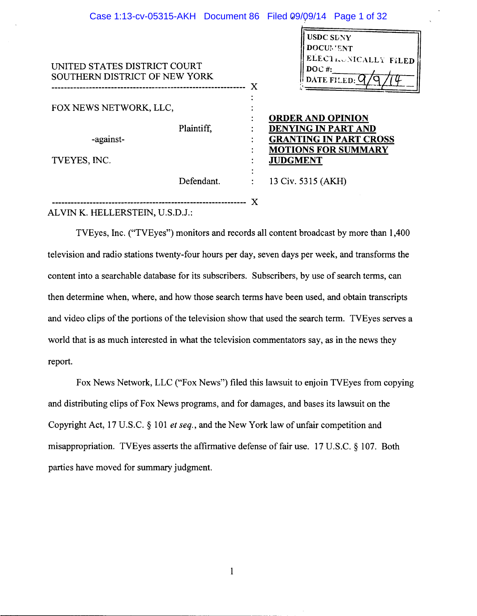| Case 1:13-cv-05315-AKH Document 86 Filed 09/09/14 Page 1 of 32     |            |  |                            |                                                                                    |
|--------------------------------------------------------------------|------------|--|----------------------------|------------------------------------------------------------------------------------|
| UNITED STATES DISTRICT COURT<br>SOUTHERN DISTRICT OF NEW YORK<br>X |            |  | $DOC$ #:                   | <b>USDC SENY</b><br><b>DOCUMENT</b><br>ELECTRONICALLY FILED<br>DATE FILED: $\circ$ |
| FOX NEWS NETWORK, LLC,                                             |            |  | <b>ORDER AND OPINION</b>   |                                                                                    |
| -against-                                                          | Plaintiff, |  | <b>DENYING IN PART AND</b> | <b>GRANTING IN PART CROSS</b><br><b>MOTIONS FOR SUMMARY</b>                        |
| TVEYES, INC.                                                       |            |  | <b>JUDGMENT</b>            |                                                                                    |
|                                                                    | Defendant. |  | 13 Civ. 5315 (AKH)         |                                                                                    |

-------------------------------------------------------------- *)(*  ALVIN K. HELLERSTEIN, U.S.D.J.:

TVEyes, Inc. ("TVEyes") monitors and records all content broadcast by more than 1,400 television and radio stations twenty-four hours per day, seven days per week, and transforms the content into a searchable database for its subscribers. Subscribers, by use of search terms, can then determine when, where, and how those search terms have been used, and obtain transcripts and video clips of the portions of the television show that used the search term. TVEyes serves a world that is as much interested in what the television commentators say, as in the news they report.

Fox News Network, LLC ("Fox News") filed this lawsuit to enjoin TVEyes from copying and distributing clips of Fox News programs, and for damages, and bases its lawsuit on the Copyright Act, 17 U.S.C. § 101 *et seq.,* and the New York law of unfair competition and misappropriation. TVEyes asserts the affirmative defense of fair use. 17 U.S.C. § 107. Both parties have moved for summary judgment.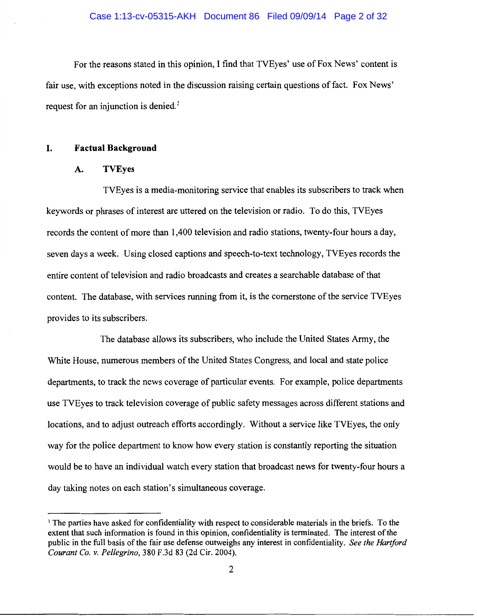For the reasons stated in this opinion, I find that TVEyes' use of Fox News' content is fair use, with exceptions noted in the discussion raising certain questions of fact. Fox News' request for an injunction is denied.<sup>1</sup>

### **I. Factual Background**

#### **A. TVEyes**

TVEyes is a media-monitoring service that enables its subscribers to track when keywords or phrases of interest are uttered on the television or radio. To do this, TVEyes records the content of more than 1,400 television and radio stations, twenty-four hours a day, seven days a week. Using closed captions and speech-to-text technology, TVEyes records the entire content of television and radio broadcasts and creates a searchable database of that content. The database, with services running from it, is the cornerstone of the service TVEyes provides to its subscribers.

The database allows its subscribers, who include the United States Army, the White House, numerous members of the United States Congress, and local and state police departments, to track the news coverage of particular events. For example, police departments use TVEyes to track television coverage of public safety messages across different stations and locations, and to adjust outreach efforts accordingly. Without a service like TVEyes, the only way for the police department to know how every station is constantly reporting the situation would be to have an individual watch every station that broadcast news for twenty-four hours a day taking notes on each station's simultaneous coverage.

<sup>1</sup> The parties have asked for confidentiality with respect to considerable materials in the briefs. To the extent that such information is found in this opinion, confidentiality is terminated. The interest of the public in the full basis of the fair use defense outweighs any interest in confidentiality. *See the Hartford Courant Co. v. Pellegrino,* 380 F.3d 83 (2d Cir. 2004).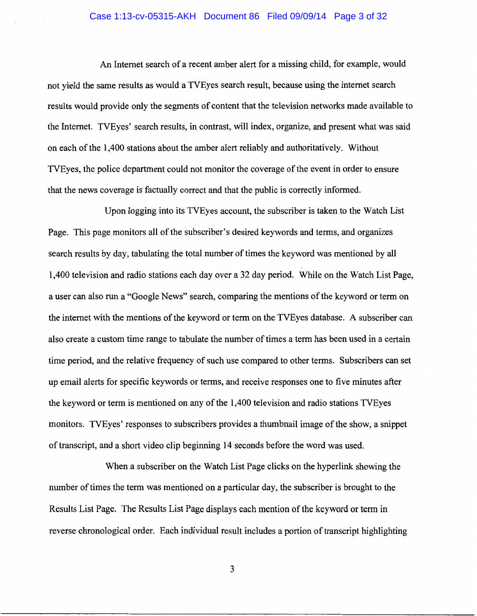#### Case 1:13-cv-05315-AKH Document 86 Filed 09/09/14 Page 3 of 32

An Internet search of a recent amber alert for a missing child, for example, would not yield the same results as would a TVEyes search result, because using the internet search results would provide only the segments of content that the television networks made available to the Internet. TVEyes' search results, in contrast, will index, organize, and present what was said on each of the 1,400 stations about the amber alert reliably and authoritatively. Without TVEyes, the police department could not monitor the coverage of the event in order to ensure that the news coverage is factually correct and that the public is correctly informed.

Upon logging into its TVEyes account, the subscriber is taken to the Watch List Page. This page monitors all of the subscriber's desired keywords and terms, and organizes search results by day, tabulating the total number of times the keyword was mentioned by all 1,400 television and radio stations each day over a 32 day period. While on the Watch List Page, a user can also run a "Google News" search, comparing the mentions of the keyword or term on the internet with the mentions of the keyword or term on the TVEyes database. A subscriber can also create a custom time range to tabulate the number of times a term has been used in a certain time period, and the relative frequency of such use compared to other terms. Subscribers can set up email alerts for specific keywords or terms, and receive responses one to five minutes after the keyword or term is mentioned on any of the 1,400 television and radio stations TVEyes monitors. TVEyes' responses to subscribers provides a thumbnail image of the show, a snippet of transcript, and a short video clip beginning 14 seconds before the word was used.

When a subscriber on the Watch List Page clicks on the hyperlink showing the number of times the term was mentioned on a particular day, the subscriber is brought to the Results List Page. The Results List Page displays each mention of the keyword or term in reverse chronological order. Each individual result includes a portion of transcript highlighting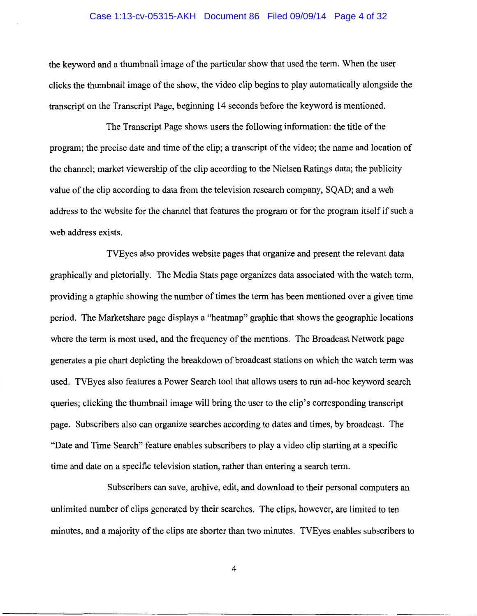#### Case 1:13-cv-05315-AKH Document 86 Filed 09/09/14 Page 4 of 32

the keyword and a thumbnail image of the particular show that used the term. When the user clicks the thumbnail image of the show, the video clip begins to play automatically alongside the transcript on the Transcript Page, beginning 14 seconds before the keyword is mentioned.

The Transcript Page shows users the following information: the title of the program; the precise date and time of the clip; a transcript of the video; the name and location of the channel; market viewership of the clip according to the Nielsen Ratings data; the publicity value of the clip according to data from the television research company, SQAD; and a web address to the website for the channel that features the program or for the program itself if such a web address exists.

TVEyes also provides website pages that organize and present the relevant data graphically and pictorially. The Media Stats page organizes data associated with the watch term, providing a graphic showing the number of times the term has been mentioned over a given time period. The Marketshare page displays a "heatmap" graphic that shows the geographic locations where the term is most used, and the frequency of the mentions. The Broadcast Network page generates a pie chart depicting the breakdown of broadcast stations on which the watch term was used. TVEyes also features a Power Search tool that allows users to run ad-hoc keyword search queries; clicking the thumbnail image will bring the user to the clip's corresponding transcript page. Subscribers also can organize searches according to dates and times, by broadcast. The "Date and Time Search" feature enables subscribers to play a video clip starting at a specific time and date on a specific television station, rather than entering a search term.

Subscribers can save, archive, edit, and download to their personal computers an unlimited number of clips generated by their searches. The clips, however, are limited to ten minutes, and a majority of the clips are shorter than two minutes. TVEyes enables subscribers to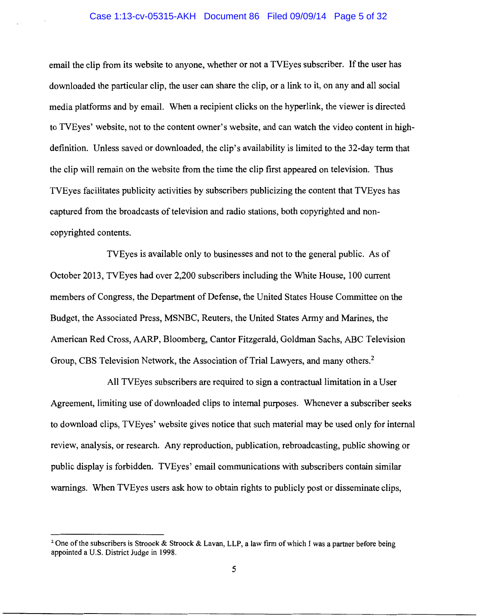#### Case 1:13-cv-05315-AKH Document 86 Filed 09/09/14 Page 5 of 32

email the clip from its website to anyone, whether or not a TVEyes subscriber. If the user has downloaded the particular clip, the user can share the clip, or a link to it, on any and all social media platforms and by email. When a recipient clicks on the hyperlink, the viewer is directed to TVEyes' website, not to the content owner's website, and can watch the video content in highdefinition. Unless saved or downloaded, the clip's availability is limited to the 32-day term that the clip will remain on the website from the time the clip first appeared on television. Thus TVEyes facilitates publicity activities by subscribers publicizing the content that TVEyes has captured from the broadcasts of television and radio stations, both copyrighted and noncopyrighted contents.

TVEyes is available only to businesses and not to the general public. As of October 2013, TVEyes had over 2,200 subscribers including the White House, 100 current members of Congress, the Department of Defense, the United States House Committee on the Budget, the Associated Press, MSNBC, Reuters, the United States Army and Marines, the American Red Cross, AARP, Bloomberg, Cantor Fitzgerald, Goldman Sachs, ABC Television Group, CBS Television Network, the Association of Trial Lawyers, and many others.<sup>2</sup>

All TVEyes subscribers are required to sign a contractual limitation in a User Agreement, limiting use of downloaded clips to internal purposes. Whenever a subscriber seeks to download clips, TVEyes' website gives notice that such material may be used only for internal review, analysis, or research. Any reproduction, publication, rebroadcasting, public showing or public display is forbidden. TVEyes' email communications with subscribers contain similar warnings. When TVEyes users ask how to obtain rights to publicly post or disseminate clips,

<sup>&</sup>lt;sup>2</sup> One of the subscribers is Stroock & Stroock & Lavan, LLP, a law firm of which I was a partner before being appointed a U.S. District Judge in 1998.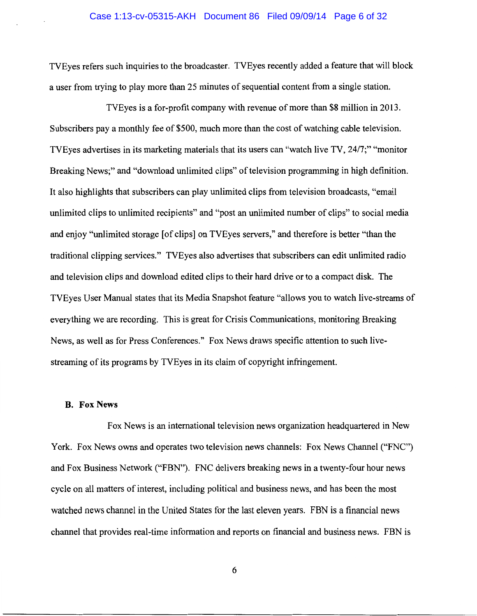#### Case 1:13-cv-05315-AKH Document 86 Filed 09/09/14 Page 6 of 32

TVEyes refers such inquiries to the broadcaster. TVEyes recently added a feature that will block a user from trying to play more than 25 minutes of sequential content from a single station.

TVEyes is a for-profit company with revenue of more than \$8 million in 2013. Subscribers pay a monthly fee of \$500, much more than the cost of watching cable television. TVEyes advertises in its marketing materials that its users can "watch live TV, 24/7;" "monitor Breaking News;" and "download unlimited clips" of television programming in high definition. It also highlights that subscribers can play unlimited clips from television broadcasts, "email unlimited clips to unlimited recipients" and "post an unlimited number of clips" to social media and enjoy "unlimited storage [of clips] on TVEyes servers," and therefore is better "than the traditional clipping services." TVEyes also advertises that subscribers can edit unlimited radio and television clips and download edited clips to their hard drive or to a compact disk. The TVEyes User Manual states that its Media Snapshot feature "allows you to watch live-streams of everything we are recording. This is great for Crisis Communications, monitoring Breaking News, as well as for Press Conferences." Fox News draws specific attention to such livestreaming of its programs by TVEyes in its claim of copyright infringement.

#### **B.** Fox News

Fox News is an international television news organization headquartered in New York. Fox News owns and operates two television news channels: Fox News Channel ("FNC") and Fox Business Network ("FBN"). FNC delivers breaking news in a twenty-four hour news cycle on all matters of interest, including political and business news, and has been the most watched news channel in the United States for the last eleven years. FBN is a financial news channel that provides real-time information and reports on financial and business news. FBN is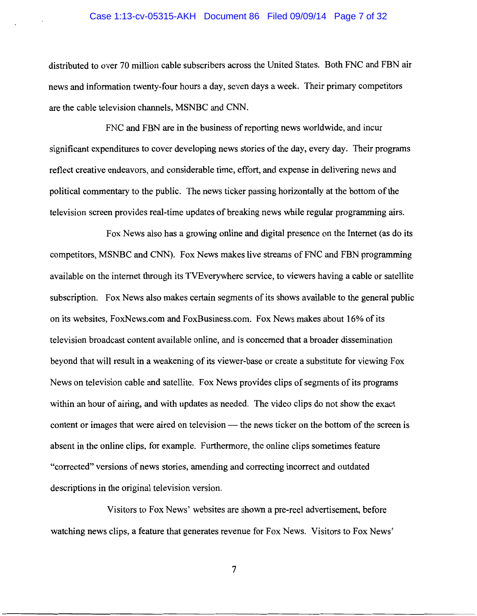#### Case 1:13-cv-05315-AKH Document 86 Filed 09/09/14 Page 7 of 32

distributed to over 70 million cable subscribers across the United States. Both FNC and FBN air news and information twenty-four hours a day, seven days a week. Their primary competitors are the cable television channels, MSNBC and CNN.

FNC and FBN are in the business of reporting news worldwide, and incur significant expenditures to cover developing news stories of the day, every day. Their programs reflect creative endeavors, and considerable time, effort, and expense in delivering news and political commentary to the public. The news ticker passing horizontally at the bottom of the television screen provides real-time updates of breaking news while regular programming airs.

Fox News also has a growing online and digital presence on the Internet (as do its competitors, MSNBC and CNN). Fox News makes live streams of PNC and FBN programming available on the internet through its TVEverywhere service, to viewers having a cable or satellite subscription. Fox News also makes certain segments of its shows available to the general public on its websites, FoxNews.com and FoxBusiness.com. Fox News makes about 16% of its television broadcast content available online, and is concerned that a broader dissemination beyond that will result in a weakening of its viewer-base or create a substitute for viewing Fox News on television cable and satellite. Fox News provides clips of segments of its programs within an hour of airing, and with updates as needed. The video clips do not show the exact content or images that were aired on television — the news ticker on the bottom of the screen is absent in the online clips, for example. Furthermore, the online clips sometimes feature "corrected" versions of news stories, amending and correcting incorrect and outdated descriptions in the original television version.

Visitors to Fox News' websites are shown a pre-reel advertisement, before watching news clips, a feature that generates revenue for Fox News. Visitors to Fox News'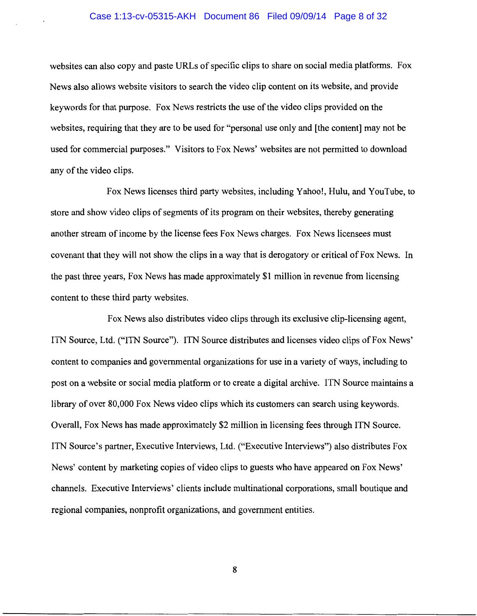#### Case 1:13-cv-05315-AKH Document 86 Filed 09/09/14 Page 8 of 32

websites can also copy and paste URLs of specific clips to share on social media platforms. Fox News also allows website visitors to search the video clip content on its website, and provide keywords for that purpose. Fox News restricts the use of the video clips provided on the websites, requiring that they are to be used for "personal use only and [the content] may not be used for commercial purposes." Visitors to Fox News' websites are not permitted to download any of the video clips.

Fox News licenses third party websites, including Yahoo!, Hulu, and YouTube, to store and show video clips of segments of its program on their websites, thereby generating another stream of income by the license fees Fox News charges. Fox News licensees must covenant that they will not show the clips in a way that is derogatory or critical of Fox News. In the past three years, Fox News has made approximately \$1 million in revenue from licensing content to these third party websites.

Fox News also distributes video clips through its exclusive clip-licensing agent, ITN Source, Ltd. ("ITN Source"). ITN Source distributes and licenses video clips of Fox News' content to companies and governmental organizations for use in a variety of ways, including to post on a website or social media platform or to create a digital archive. ITN Source maintains a library of over 80,000 Fox News video clips which its customers can search using keywords. Overall, Fox News has made approximately \$2 million in licensing fees through ITN Source. ITN Source's partner, Executive Interviews, Ltd. ("Executive Interviews") also distributes Fox News' content by marketing copies of video clips to guests who have appeared on Fox News' channels. Executive Interviews' clients include multinational corporations, small boutique and regional companies, nonprofit organizations, and government entities.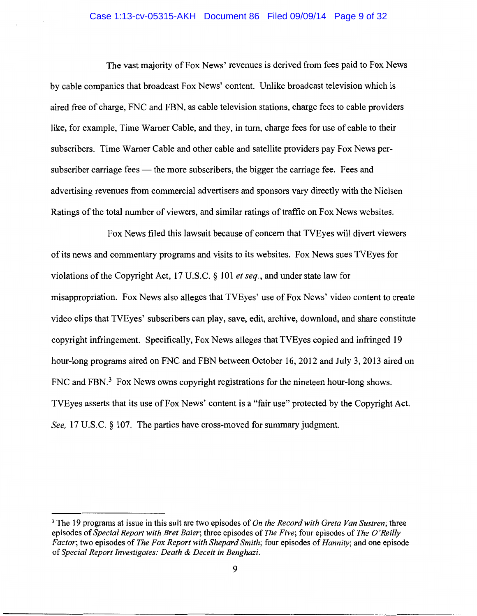#### Case 1:13-cv-05315-AKH Document 86 Filed 09/09/14 Page 9 of 32

The vast majority of Fox News' revenues is derived from fees paid to Fox News by cable companies that broadcast Fox News' content. Unlike broadcast television which is aired free of charge, FNC and FBN, as cable television stations, charge fees to cable providers like, for example, Time Warner Cable, and they, in turn, charge fees for use of cable to their subscribers. Time Warner Cable and other cable and satellite providers pay Fox News persubscriber carriage fees — the more subscribers, the bigger the carriage fee. Fees and advertising revenues from commercial advertisers and sponsors vary directly with the Nielsen Ratings of the total number of viewers, and similar ratings of traffic on Fox News websites.

Fox News filed this lawsuit because of concern that TVEyes will divert viewers of its news and commentary programs and visits to its websites. Fox News sues TVEyes for violations of the Copyright Act, 17 U.S.C. § 101 *et seq.,* and under state law for misappropriation. Fox News also alleges that TVEyes' use of Fox News' video content to create video clips that TVEyes' subscribers can play, save, edit, archive, download, and share constitute copyright infringement. Specifically, Fox News alleges that TVEyes copied and infringed 19 hour-long programs aired on FNC and FBN between October 16, 2012 and July 3, 2013 aired on FNC and FBN.<sup>3</sup> Fox News owns copyright registrations for the nineteen hour-long shows. TVEyes asserts that its use of Fox News' content is a "fair use" protected by the Copyright Act. *See,* 17 U.S.C. § 107. The parties have cross-moved for summary judgment.

<sup>3</sup> The 19 programs at issue in this suit are two episodes of *On the Record with Greta Van Sustren;* three episodes of *Special Report with Bret Baier;* three episodes of *The Five;* four episodes of *The 0 'Reilly Factor;* two episodes of *The Fox Report with Shepard Smith;* four episodes of *Hannity;* and one episode of *Special Report Investigates: Death* & *Deceit in Benghazi.*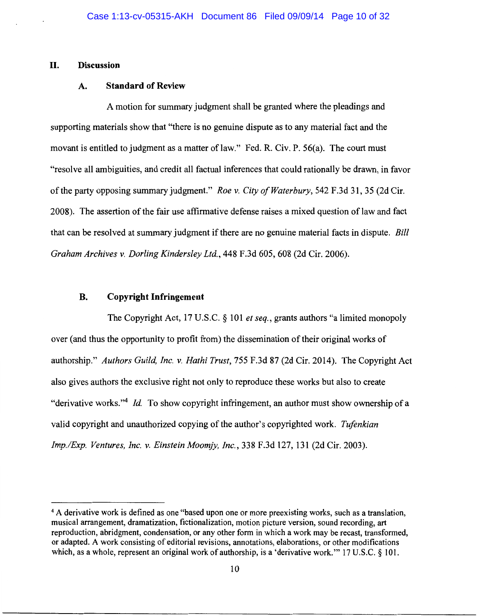#### **II. Discussion**

#### **A. Standard of Review**

A motion for summary judgment shall be granted where the pleadings and supporting materials show that "there is no genuine dispute as to any material fact and the movant is entitled to judgment as a matter of law." Fed. R. Civ. P. 56(a). The court must "resolve all ambiguities, and credit all factual inferences that could rationally be drawn, in favor of the party opposing summary judgment." *Roe v. City of Waterbury,* 542 F.3d 31, 35 (2d Cir. 2008). The assertion of the fair use affirmative defense raises a mixed question of law and fact that can be resolved at summary judgment if there are no genuine material facts in dispute. *Bill Graham Archives v. Darling Kindersley Ltd.,* 448 F.3d 605, 608 (2d Cir. 2006).

### **B. Copyright Infringement**

The Copyright Act, 17 U.S.C. § 101 *et seq.,* grants authors "a limited monopoly over (and thus the opportunity to profit from) the dissemination of their original works of authorship." *Authors Guild, Inc. v. Hathi Trust,* 755 F.3d 87 (2d Cir. 2014). The Copyright Act also gives authors the exclusive right not only to reproduce these works but also to create "derivative works."<sup>4</sup>*Id.* To show copyright infringement, an author must show ownership of a valid copyright and unauthorized copying of the author's copyrighted work. *Tufenkian lmp./Exp. Ventures, Inc. v. Einstein Moomjy, Inc.,* 338 F.3d 127, 131 (2d Cir. 2003).

<sup>4</sup> A derivative work is defined as one "based upon one or more preexisting works, such as a translation, musical arrangement, dramatization, fictionalization, motion picture version, sound recording, art reproduction, abridgment, condensation, or any other form in which a work may be recast, transformed, or adapted. A work consisting of editorial revisions, annotations, elaborations, or other modifications which, as a whole, represent an original work of authorship, is a 'derivative work." 17 U.S.C. § 101.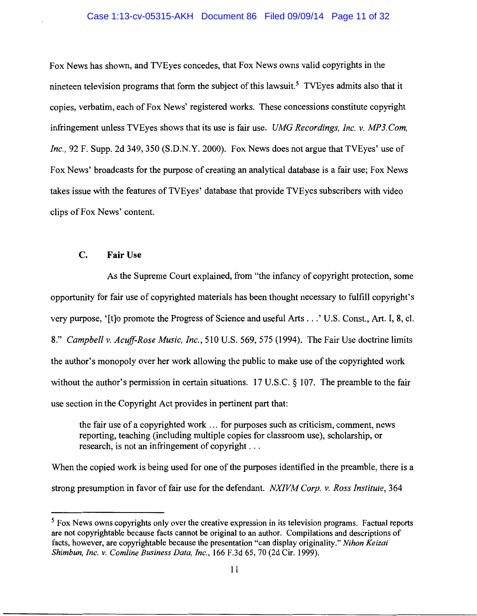### Case 1:13-cv-05315-AKH Document 86 Filed 09/09/14 Page 11 of 32

Fox News has shown, and TVEyes concedes, that Fox News owns valid copyrights in the nineteen television programs that form the subject of this lawsuit.<sup>5</sup> TVEyes admits also that it copies, verbatim, each of Fox News' registered works. These concessions constitute copyright infringement unless TVEyes shows that its use is fair use. *UMG Recordings, Inc. v. MP3. Com, Inc.,* 92 F. Supp. 2d 349, 350 (S.D.N.Y. 2000). Fox News does not argue that TVEyes' use of Fox News' broadcasts for the purpose of creating an analytical database is a fair use; Fox News takes issue with the features of TVEyes' database that provide TVEyes subscribers with video clips of Fox News' content.

# C. **Fair** Use

As the Supreme Court explained, from "the infancy of copyright protection, some opportunity for fair use of copyrighted materials has been thought necessary to fulfill copyright's very purpose, '[t]o promote the Progress of Science and useful Arts .. .' U.S. Const., Art. I, 8, cl. 8." *Campbell v. Acuff-Rose Music, Inc.,* 510 U.S. 569, 575 (1994). The Fair Use doctrine limits the author's monopoly over her work allowing the public to make use of the copyrighted work without the author's permission in certain situations. 17 U.S.C. § 107. The preamble to the fair use section in the Copyright Act provides in pertinent part that:

the fair use of a copyrighted work ... for purposes such as criticism, comment, news reporting, teaching (including multiple copies for classroom use), scholarship, or research, is not an infringement of copyright ...

When the copied work is being used for one of the purposes identified in the preamble, there is a strong presumption in favor of fair use for the defendant. *NXIVM Corp. v. Ross Institute,* 364

<sup>&</sup>lt;sup>5</sup> Fox News owns copyrights only over the creative expression in its television programs. Factual reports are not copyrightable because facts cannot be original to an author. Compilations and descriptions of facts, however, are copyrightable because the presentation "can display originality." *Nihon Keizai Shimbun, Inc. v. Comline Business Data, Inc.,* 166 F.3d 65, 70 (2d Cir. 1999).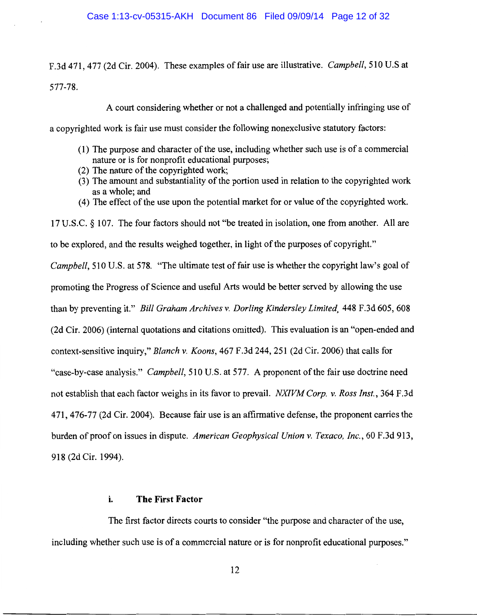F.3d 471, 477 (2d Cir. 2004). These examples of fair use are illustrative. *Campbell,* 510 U.S at 577-78.

A court considering whether or not a challenged and potentially infringing use of a copyrighted work is fair use must consider the following nonexclusive statutory factors:

- (1) The purpose and character of the use, including whether such use is of a commercial nature or is for nonprofit educational purposes;
- (2) The nature of the copyrighted work;
- (3) The amount and substantiality of the portion used in relation to the copyrighted work as a whole; and
- (4) The effect of the use upon the potential market for or value of the copyrighted work.

17 U.S.C. *§* 107. The four factors should not "be treated in isolation, one from another. All are to be explored, and the results weighed together, in light of the purposes of copyright." *Campbell,* 510 U.S. at 578. "The ultimate test of fair use is whether the copyright law's goal of promoting the Progress of Science and useful Arts would be better served by allowing the use than by preventing it." *Bill Graham Archives v. Darling Kindersley Limited,* 448 F.3d 605, 608 (2d Cir. 2006) (internal quotations and citations omitted). This evaluation is an "open-ended and context-sensitive inquiry," *Blanch v. Koons,* 467 F.3d 244, 251 (2d Cir. 2006) that calls for "case-by-case analysis." *Campbell,* 510 U.S. at 577. A proponent of the fair use doctrine need not establish that each factor weighs in its favor to prevail. *NXIVM Corp. v. Ross Inst.,* 364 F.3d 471, 476-77 (2d Cir. 2004). Because fair use is an affirmative defense, the proponent carries the burden of proof on issues in dispute. *American Geophysical Union v. Texaco, Inc.,* 60 F.3d 913, 918 (2d Cir. 1994).

# **i. The First Factor**

The first factor directs courts to consider "the purpose and character of the use, including whether such use is of a commercial nature or is for nonprofit educational purposes."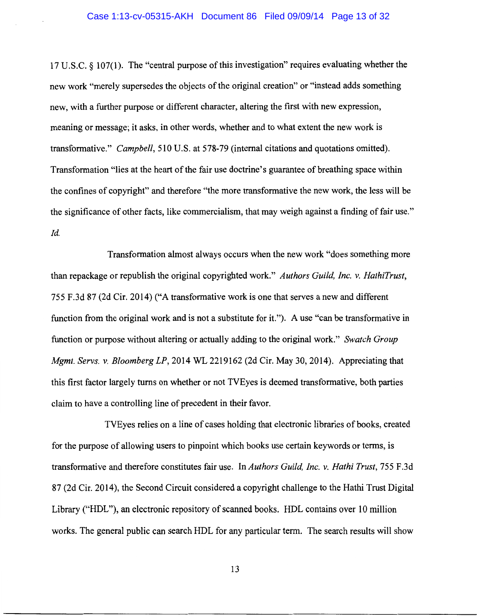#### Case 1:13-cv-05315-AKH Document 86 Filed 09/09/14 Page 13 of 32

17 U.S.C. § 107(1). The "central purpose of this investigation" requires evaluating whether the new work "merely supersedes the objects of the original creation" or "instead adds something new, with a further purpose or different character, altering the first with new expression, meaning or message; it asks, in other words, whether and to what extent the new work is transformative." *Campbell,* 510 U.S. at 578-79 (internal citations and quotations omitted). Transformation "lies at the heart of the fair use doctrine's guarantee of breathing space within the confines of copyright" and therefore "the more transformative the new work, the less will be the significance of other facts, like commercialism, that may weigh against a finding of fair use." *Id.* 

Transformation almost always occurs when the new work "does something more than repackage or republish the original copyrighted work." *Authors Guild, Inc. v. HathiTrust,*  755 F.3d 87 (2d Cir. 2014) ("A transformative work is one that serves a new and different function from the original work and is not a substitute for it."). A use "can be transformative in function or purpose without altering or actually adding to the original work." *Swatch Group Mgmt. Servs. v. Bloomberg LP,* 2014 WL 2219162 (2d Cir. May 30, 2014). Appreciating that this first factor largely turns on whether or not TVEyes is deemed transformative, both parties claim to have a controlling line of precedent in their favor.

TVEyes relies on a line of cases holding that electronic libraries of books, created for the purpose of allowing users to pinpoint which books use certain keywords or terms, is transformative and therefore constitutes fair use. In *Authors Guild, Inc. v. Hathi Trust,* 755 F.3d 87 (2d Cir. 2014), the Second Circuit considered a copyright challenge to the Hathi Trust Digital Library ("HDL"), an electronic repository of scanned books. HDL contains over 10 million works. The general public can search HDL for any particular term. The search results will show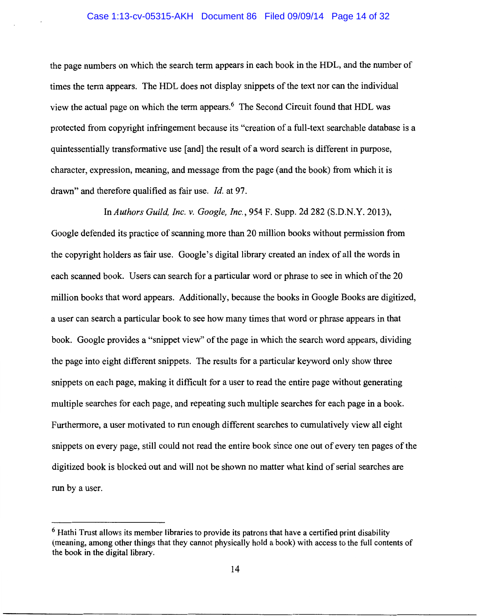#### Case 1:13-cv-05315-AKH Document 86 Filed 09/09/14 Page 14 of 32

the page numbers on which the search term appears in each book in the HDL, and the number of times the term appears. The HDL does not display snippets of the text nor can the individual view the actual page on which the term appears.<sup>6</sup> The Second Circuit found that HDL was protected from copyright infringement because its "creation of a full-text searchable database is a quintessentially transformative use [and] the result of a word search is different in purpose, character, expression, meaning, and message from the page (and the book) from which it is drawn" and therefore qualified as fair use. *Id.* at 97.

In *Authors Guild, Inc. v. Google, Inc.,* 954 F. Supp. 2d 282 (S.D.N.Y. 2013), Google defended its practice of scanning more than 20 million books without permission from the copyright holders as fair use. Google's digital library created an index of all the words in each scanned book. Users can search for a particular word or phrase to see in which of the 20 million books that word appears. Additionally, because the books in Google Books are digitized, a user can search a particular book to see how many times that word or phrase appears in that book. Google provides a "snippet view" of the page in which the search word appears, dividing the page into eight different snippets. The results for a particular keyword only show three snippets on each page, making it difficult for a user to read the entire page without generating multiple searches for each page, and repeating such multiple searches for each page in a book. Furthermore, a user motivated to run enough different searches to cumulatively view all eight snippets on every page, still could not read the entire book since one out of every ten pages of the digitized book is blocked out and will not be shown no matter what kind of serial searches are run by a user.

<sup>&</sup>lt;sup>6</sup> Hathi Trust allows its member libraries to provide its patrons that have a certified print disability (meaning, among other things that they cannot physically hold a book) with access to the full contents of the book in the digital library.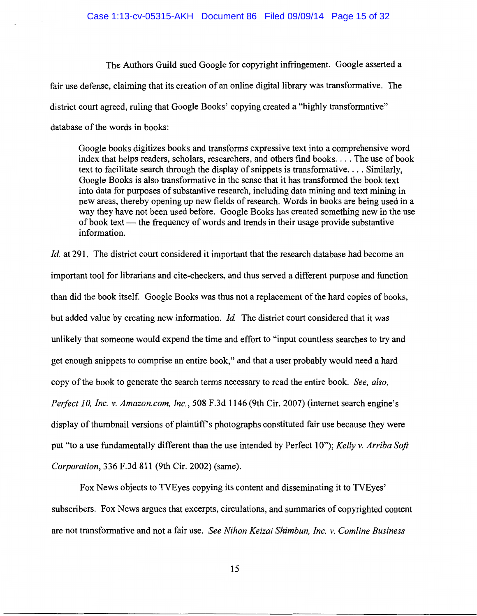The Authors Guild sued Google for copyright infringement. Google asserted a fair use defense, claiming that its creation of an online digital library was transformative. The district court agreed, ruling that Google Books' copying created a "highly transformative" database of the words in books:

Google books digitizes books and transforms expressive text into a comprehensive word index that helps readers, scholars, researchers, and others find books .... The use of book text to facilitate search through the display of snippets is transformative .... Similarly, Google Books is also transformative in the sense that it has transformed the book text into data for purposes of substantive research, including data mining and text mining in new areas, thereby opening up new fields of research. Words in books are being used in a way they have not been used before. Google Books has created something new in the use of book text - the frequency of words and trends in their usage provide substantive information.

*Id.* at 291. The district court considered it important that the research database had become an important tool for librarians and cite-checkers, and thus served a different purpose and function than did the book itself. Google Books was thus not a replacement of the hard copies of books, but added value by creating new information. *Id*. The district court considered that it was unlikely that someone would expend the time and effort to "input countless searches to try and get enough snippets to comprise an entire book," and that a user probably would need a hard copy of the book to generate the search terms necessary to read the entire book. *See, also, Perfect JO, Inc. v. Amazon.com, Inc.,* 508 F.3d 1146 (9th Cir. 2007) (internet search engine's display of thumbnail versions of plaintiffs photographs constituted fair use because they were put "to a use fundamentally different than the use intended by Perfect 10"); *Kelly v. Arriba Soft Corporation,* 336 F.3d 811 (9th Cir. 2002) (same).

Fox News objects to TVEyes copying its content and disseminating it to TVEyes' subscribers. Fox News argues that excerpts, circulations, and summaries of copyrighted content are not transformative and not a fair use. *See Nihon Keizai Shimbun, Inc. v. Comline Business*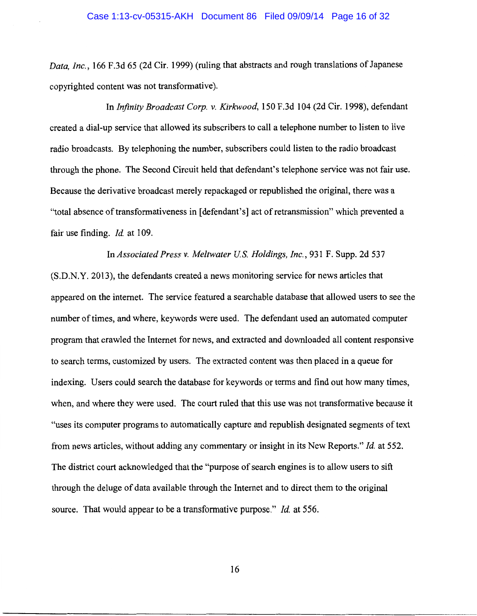*Data, Inc.,* 166 F.3d 65 (2d Cir. 1999) (ruling that abstracts and rough translations of Japanese copyrighted content was not transformative ).

In *Infinity Broadcast Corp. v. Kirkwood,* 150 F.3d 104 (2d Cir. 1998), defendant created a dial-up service that allowed its subscribers to call a telephone number to listen to live radio broadcasts. By telephoning the number, subscribers could listen to the radio broadcast through the phone. The Second Circuit held that defendant's telephone service was not fair use. Because the derivative broadcast merely repackaged or republished the original, there was a "total absence of transformativeness in [defendant's] act of retransmission" which prevented a fair use finding. *Id.* at 109.

In *Associated Press v. Meltwater US. Holdings, Inc.,* 931 F. Supp. 2d 537 (S.D.N.Y. 2013), the defendants created a news monitoring service for news articles that appeared on the internet. The service featured a searchable database that allowed users to see the number of times, and where, keywords were used. The defendant used an automated computer program that crawled the Internet for news, and extracted and downloaded all content responsive to search terms, customized by users. The extracted content was then placed in a queue for indexing. Users could search the database for keywords or terms and find out how many times, when, and where they were used. The court ruled that this use was not transformative because it "uses its computer programs to automatically capture and republish designated segments of text from news articles, without adding any commentary or insight in its New Reports." *Id.* at 552. The district court acknowledged that the "purpose of search engines is to allow users to sift through the deluge of data available through the Internet and to direct them to the original source. That would appear to be a transformative purpose." *Id.* at 556.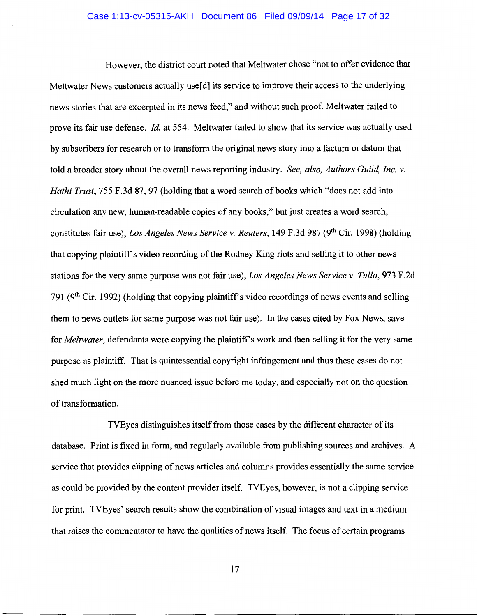However, the district court noted that Meltwater chose "not to offer evidence that Meltwater News customers actually use[d] its service to improve their access to the underlying news stories that are excerpted in its news feed," and without such proof, Meltwater failed to prove its fair use defense. *Id* at 554. Meltwater failed to show that its service was actually used by subscribers for research or to transform the original news story into a factum or datum that told a broader story about the overall news reporting industry. *See, also, Authors Guild, Inc. v. Hathi Trust,* 755 F.3d 87, 97 (holding that a word search of books which "does not add into circulation any new, human-readable copies of any books," but just creates a word search, constitutes fair use); *Los Angeles News Service v. Reuters*, 149 F.3d 987 (9<sup>th</sup> Cir. 1998) (holding that copying plaintiffs video recording of the Rodney King riots and selling it to other news stations for the very same purpose was not fair use); *Los Angeles News Service v. Tullo,* 973 F.2d 791 ( $9<sup>th</sup>$  Cir. 1992) (holding that copying plaintiff's video recordings of news events and selling them to news outlets for same purpose was not fair use). In the cases cited by Fox News, save for *Meltwater*, defendants were copying the plaintiff's work and then selling it for the very same purpose as plaintiff. That is quintessential copyright infringement and thus these cases do not shed much light on the more nuanced issue before me today, and especially not on the question of transformation.

TVEyes distinguishes itself from those cases by the different character of its database. Print is fixed in form, and regularly available from publishing sources and archives. A service that provides clipping of news articles and columns provides essentially the same service as could be provided by the content provider itself. TVEyes, however, is not a clipping service for print. TVEyes' search results show the combination of visual images and text in a medium that raises the commentator to have the qualities of news itself. The focus of certain programs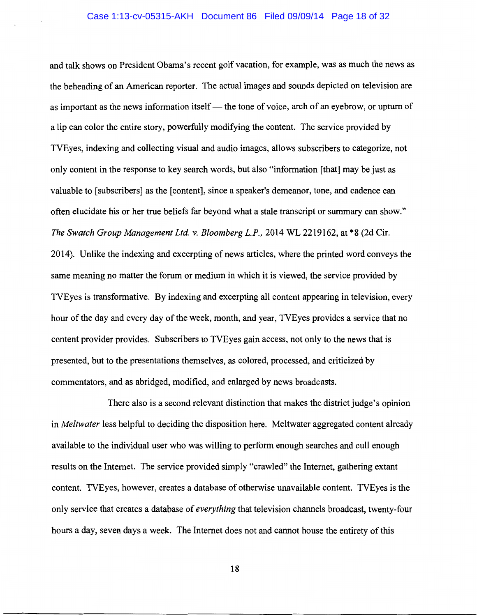and talk shows on President Obama's recent golf vacation, for example, was as much the news as the beheading of an American reporter. The actual images and sounds depicted on television are as important as the news information itself — the tone of voice, arch of an eyebrow, or upturn of a lip can color the entire story, powerfully modifying the content. The service provided by TVEyes, indexing and collecting visual and audio images, allows subscribers to categorize, not only content in the response to key search words, but also "information [that] may be just as valuable to [subscribers] as the [content], since a speaker's demeanor, tone, and cadence can often elucidate his or her true beliefs far beyond what a stale transcript or summary can show." *The Swatch Group Management Ltd. v. Bloomberg L.P.,* 2014 WL 2219162, at \*8 (2d Cir. 2014). Unlike the indexing and excerpting of news articles, where the printed word conveys the same meaning no matter the forum or medium in which it is viewed, the service provided by TVEyes is transformative. By indexing and excerpting all content appearing in television, every hour of the day and every day of the week, month, and year, TVEyes provides a service that no content provider provides. Subscribers to TVEyes gain access, not only to the news that is

presented, but to the presentations themselves, as colored, processed, and criticized by commentators, and as abridged, modified, and enlarged by news broadcasts.

There also is a second relevant distinction that makes the district judge's opinion in *Meltwater* less helpful to deciding the disposition here. Meltwater aggregated content already available to the individual user who was willing to perform enough searches and cull enough results on the Internet. The service provided simply "crawled" the Internet, gathering extant content. TVEyes, however, creates a database of otherwise unavailable content. TVEyes is the only service that creates a database of *everything* that television channels broadcast, twenty-four hours a day, seven days a week. The Internet does not and cannot house the entirety of this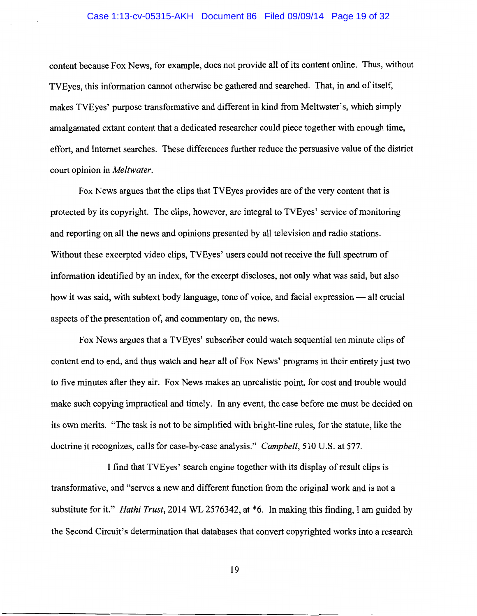#### Case 1:13-cv-05315-AKH Document 86 Filed 09/09/14 Page 19 of 32

content because Fox News, for example, does not provide all of its content online. Thus, without TVEyes, this information cannot otherwise be gathered and searched. That, in and of itself, makes TVEyes' purpose transformative and different in kind from Meltwater's, which simply amalgamated extant content that a dedicated researcher could piece together with enough time, effort, and Internet searches. These differences further reduce the persuasive value of the district court opinion in *Meltwater.* 

Fox News argues that the clips that TVEyes provides are of the very content that is protected by its copyright. The clips, however, are integral to TVEyes' service of monitoring and reporting on all the news and opinions presented by all television and radio stations. Without these excerpted video clips, TVEyes' users could not receive the full spectrum of information identified by an index, for the excerpt discloses, not only what was said, but also how it was said, with subtext body language, tone of voice, and facial expression - all crucial aspects of the presentation of, and commentary on, the news.

Fox News argues that a TVEyes' subscriber could watch sequential ten minute clips of content end to end, and thus watch and hear all of Fox News' programs in their entirety just two to five minutes after they air. Fox News makes an unrealistic point, for cost and trouble would make such copying impractical and timely. In any event, the case before me must be decided on its own merits. "The task is not to be simplified with bright-line rules, for the statute, like the doctrine it recognizes, calls for case-by-case analysis." *Campbell,* 510 U.S. at 577.

I find that TVEyes' search engine together with its display of result clips is transformative, and "serves a new and different function from the original work and is not a substitute for it." *Hathi Trust,* 2014 WL 2576342, at \*6. In making this finding, I am guided by the Second Circuit's determination that databases that convert copyrighted works into a research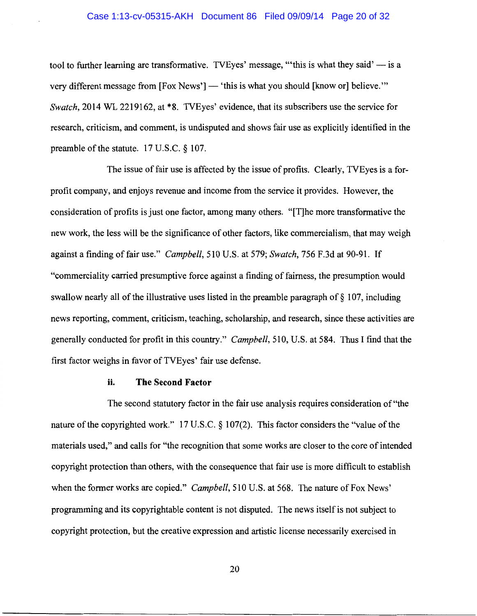#### Case 1:13-cv-05315-AKH Document 86 Filed 09/09/14 Page 20 of 32

tool to further learning are transformative. TVEyes' message, "this is what they said' - is a very different message from [Fox News'] — 'this is what you should [know or] believe." *Swatch,* 2014 WL 2219162, at \*8. TVEyes' evidence, that its subscribers use the service for research, criticism, and comment, is undisputed and shows fair use as explicitly identified in the preamble of the statute. 17 U.S.C. § 107.

The issue of fair use is affected by the issue of profits. Clearly, TVEyes is a forprofit company, and enjoys revenue and income from the service it provides. However, the consideration of profits is just one factor, among many others. "[T]he more transformative the new work, the less will be the significance of other factors, like commercialism, that may weigh against a finding of fair use." *Campbell,* 510 U.S. at 579; *Swatch,* 756 F.3d at 90-91. If "commerciality carried presumptive force against a finding of fairness, the presumption would swallow nearly all of the illustrative uses listed in the preamble paragraph of§ 107, including news reporting, comment, criticism, teaching, scholarship, and research, since these activities are generally conducted for profit in this country." *Campbell,* 510, U.S. at 584. Thus I find that the first factor weighs in favor of TVEyes' fair use defense.

## **ii. The Second Factor**

The second statutory factor in the fair use analysis requires consideration of "the nature of the copyrighted work." 17 U.S.C. § 107(2). This factor considers the "value of the materials used," and calls for "the recognition that some works are closer to the core of intended copyright protection than others, with the consequence that fair use is more difficult to establish when the former works are copied." *Campbell,* 510 U.S. at 568. The nature of Fox News' programming and its copyrightable content is not disputed. The news itself is not subject to copyright protection, but the creative expression and artistic license necessarily exercised in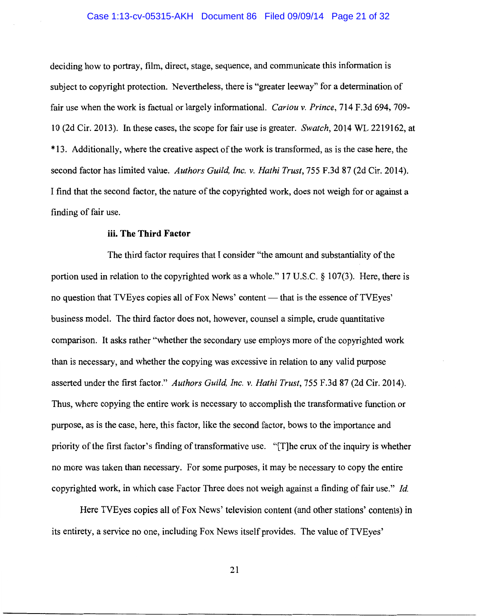#### Case 1:13-cv-05315-AKH Document 86 Filed 09/09/14 Page 21 of 32

deciding how to portray, film, direct, stage, sequence, and communicate this information is subject to copyright protection. Nevertheless, there is "greater leeway" for a determination of fair use when the work is factual or largely informational. *Cariou v. Prince,* 714 F.3d 694, 709- 10 (2d Cir. 2013). In these cases, the scope for fair use is greater. *Swatch,* 2014 WL 2219162, at \* 13. Additionally, where the creative aspect of the work is transformed, as is the case here, the second factor has limited value. *Authors Guild, Inc. v. Hathi Trust,* 755 F.3d 87 (2d Cir. 2014). I find that the second factor, the nature of the copyrighted work, does not weigh for or against a finding of fair use.

### **iii. The Third Factor**

The third factor requires that I consider "the amount and substantiality of the portion used in relation to the copyrighted work as a whole." 17 U.S.C. § 107(3). Here, there is no question that TVEyes copies all of Fox News' content — that is the essence of TVEyes' business model. The third factor does not, however, counsel a simple, crude quantitative comparison. It asks rather "whether the secondary use employs more of the copyrighted work than is necessary, and whether the copying was excessive in relation to any valid purpose asserted under the first factor." *Authors Guild, Inc. v. Hathi Trust,* 755 F.3d 87 (2d Cir. 2014). Thus, where copying the entire work is necessary to accomplish the transformative function or purpose, as is the case, here, this factor, like the second factor, bows to the importance and priority of the first factor's finding of transformative use. "[T]he crux of the inquiry is whether no more was taken than necessary. For some purposes, it may be necessary to copy the entire copyrighted work, in which case Factor Three does not weigh against a finding of fair use." *Id.* 

Here TVEyes copies all of Fox News' television content (and other stations' contents) in its entirety, a service no one, including Fox News itself provides. The value of TVEyes'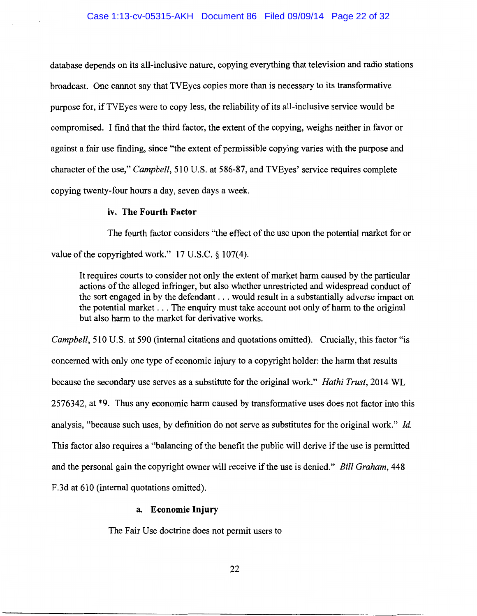database depends on its all-inclusive nature, copying everything that television and radio stations broadcast. One cannot say that TVEyes copies more than is necessary to its transformative purpose for, ifTVEyes were to copy less, the reliability of its all-inclusive service would be compromised. I find that the third factor, the extent of the copying, weighs neither in favor or against a fair use finding, since "the extent of permissible copying varies with the purpose and character of the use," *Campbell,* 510 U.S. at 586-87, and TVEyes' service requires complete copying twenty-four hours a day, seven days a week.

#### iv. **The Fourth Factor**

The fourth factor considers "the effect of the use upon the potential market for or value of the copyrighted work." 17 U.S.C. § 107(4).

It requires courts to consider not only the extent of market harm caused by the particular actions of the alleged infringer, but also whether unrestricted and widespread conduct of the sort engaged in by the defendant ... would result in a substantially adverse impact on the potential market ... The enquiry must take account not only of harm to the original but also harm to the market for derivative works.

*Campbell,* 510 U.S. at 590 (internal citations and quotations omitted). Crucially, this factor "is concerned with only one type of economic injury to a copyright holder: the harm that results because the secondary use serves as a substitute for the original work." *Hathi Trust,* 2014 WL 2576342, at \*9. Thus any economic harm caused by transformative uses does not factor into this analysis, "because such uses, by definition do not serve as substitutes for the original work." *Id*  This factor also requires a "balancing of the benefit the public will derive if the use is permitted and the personal gain the copyright owner will receive if the use is denied." *Bill Graham,* 448 F.3d at 610 (internal quotations omitted).

### a. **Economic Injury**

The Fair Use doctrine does not permit users to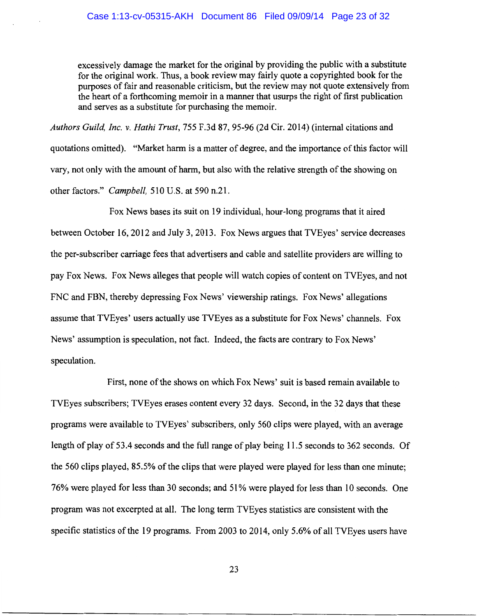excessively damage the market for the original by providing the public with a substitute for the original work. Thus, a book review may fairly quote a copyrighted book for the purposes of fair and reasonable criticism, but the review may not quote extensively from the heart of a forthcoming memoir in a manner that usurps the right of first publication and serves as a substitute for purchasing the memoir.

*Authors Guild, Inc. v. Hathi Trust,* 755 F.3d 87, 95-96 (2d Cir. 2014) (internal citations and quotations omitted). "Market harm is a matter of degree, and the importance of this factor will vary, not only with the amount of harm, but also with the relative strength of the showing on other factors." *Campbell,* 510 U.S. at 590 n.21.

Fox News bases its suit on 19 individual, hour-long programs that it aired between October 16, 2012 and July 3, 2013. Fox News argues that TVEyes' service decreases the per-subscriber carriage fees that advertisers and cable and satellite providers are willing to pay Fox News. Fox News alleges that people will watch copies of content on TVEyes, and not FNC and FBN, thereby depressing Fox News' viewership ratings. Fox News' allegations assume that TVEyes' users actually use TVEyes as a substitute for Fox News' channels. Fox News' assumption is speculation, not fact. Indeed, the facts are contrary to Fox News' speculation.

First, none of the shows on which Fox News' suit is based remain available to TVEyes subscribers; TVEyes erases content every 32 days. Second, in the 32 days that these programs were available to TVEyes' subscribers, only 560 clips were played, with an average length of play of 53.4 seconds and the full range of play being 11.5 seconds to 362 seconds. Of the 560 clips played, 85.5% of the clips that were played were played for less than one minute; 76% were played for less than 30 seconds; and 51 % were played for less than 10 seconds. One program was not excerpted at all. The long term TVEyes statistics are consistent with the specific statistics of the 19 programs. From 2003 to 2014, only 5 .6% of all TVEyes users have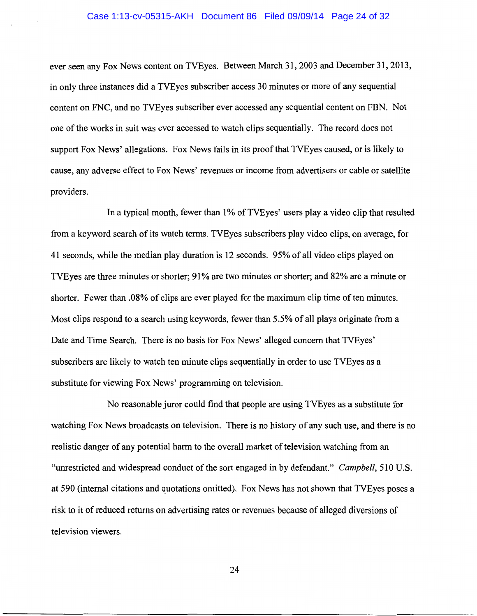#### Case 1:13-cv-05315-AKH Document 86 Filed 09/09/14 Page 24 of 32

ever seen any Fox News content on TVEyes. Between March 31, 2003 and December 31, 2013, in only three instances did a TVEyes subscriber access 30 minutes or more of any sequential content on FNC, and no TVEyes subscriber ever accessed any sequential content on FBN. Not one of the works in suit was ever accessed to watch clips sequentially. The record does not support Fox News' allegations. Fox News fails in its proof that TVEyes caused, or is likely to cause, any adverse effect to Fox News' revenues or income from advertisers or cable or satellite providers.

In a typical month, fewer than 1% of TVEyes' users play a video clip that resulted from a keyword search of its watch terms. TVEyes subscribers play video clips, on average, for 41 seconds, while the median play duration is 12 seconds. 95% of all video clips played on TVEyes are three minutes or shorter; 91% are two minutes or shorter; and 82% are a minute or shorter. Fewer than .08% of clips are ever played for the maximum clip time of ten minutes. Most clips respond to a search using keywords, fewer than 5.5% of all plays originate from a Date and Time Search. There is no basis for Fox News' alleged concern that TVEyes' subscribers are likely to watch ten minute clips sequentially in order to use TVEyes as a substitute for viewing Fox News' programming on television.

No reasonable juror could find that people are using TVEyes as a substitute for watching Fox News broadcasts on television. There is no history of any such use, and there is no realistic danger of any potential harm to the overall market of television watching from an "unrestricted and widespread conduct of the sort engaged in by defendant." *Campbell,* 510 U.S. at 590 (internal citations and quotations omitted). Fox News has not shown that TVEyes poses a risk to it of reduced returns on advertising rates or revenues because of alleged diversions of television viewers.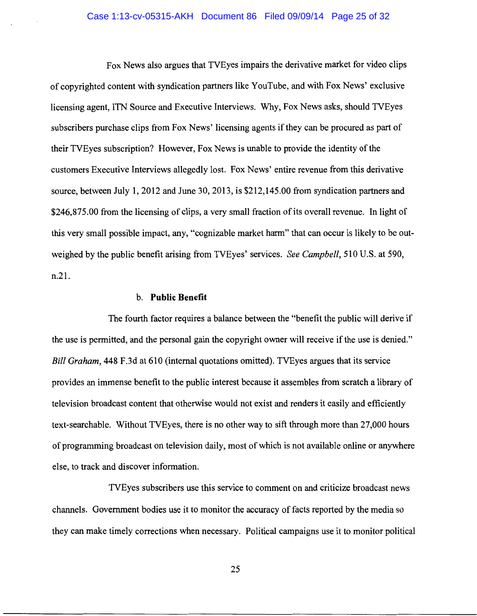#### Case 1:13-cv-05315-AKH Document 86 Filed 09/09/14 Page 25 of 32

Fox News also argues that TVEyes impairs the derivative market for video clips of copyrighted content with syndication partners like YouTube, and with Fox News' exclusive licensing agent, ITN Source and Executive Interviews. Why, Fox News asks, should TVEyes subscribers purchase clips from Fox News' licensing agents if they can be procured as part of their TVEyes subscription? However, Fox News is unable to provide the identity of the customers Executive Interviews allegedly lost. Fox News' entire revenue from this derivative source, between July 1, 2012 and June 30, 2013, is \$212,145.00 from syndication partners and \$246,875.00 from the licensing of clips, a very small fraction of its overall revenue. In light of this very small possible impact, any, "cognizable market harm" that can occur is likely to be outweighed by the public benefit arising from TVEyes' services. *See Campbell,* 510 U.S. at 590, n.21.

#### b. **Public Benefit**

The fourth factor requires a balance between the "benefit the public will derive if the use is permitted, and the personal gain the copyright owner will receive if the use is denied." *Bill Graham,* 448 F.3d at 610 (internal quotations omitted). TVEyes argues that its service provides an immense benefit to the public interest because it assembles from scratch a library of television broadcast content that otherwise would not exist and renders it easily and efficiently text-searchable. Without TVEyes, there is no other way to sift through more than 27,000 hours of programming broadcast on television daily, most of which is not available online or anywhere else, to track and discover information.

TVEyes subscribers use this service to comment on and criticize broadcast news channels. Government bodies use it to monitor the accuracy of facts reported by the media so they can make timely corrections when necessary. Political campaigns use it to monitor political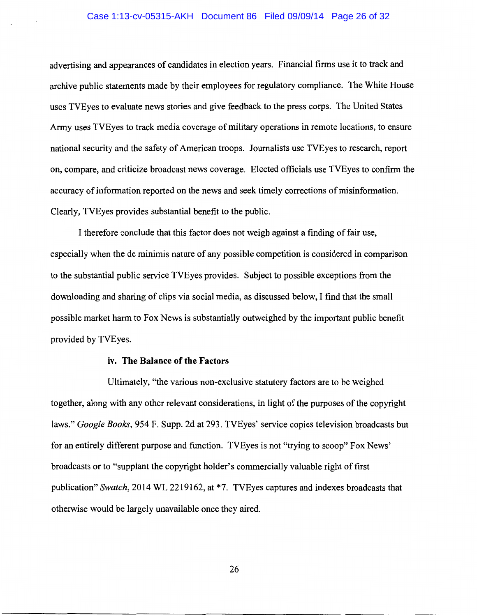#### Case 1:13-cv-05315-AKH Document 86 Filed 09/09/14 Page 26 of 32

advertising and appearances of candidates in election years. Financial firms use it to track and archive public statements made by their employees for regulatory compliance. The White House uses TVEyes to evaluate news stories and give feedback to the press corps. The United States Army uses TVEyes to track media coverage of military operations in remote locations, to ensure national security and the safety of American troops. Journalists use TVEyes to research, report on, compare, and criticize broadcast news coverage. Elected officials use TVEyes to confirm the accuracy of information reported on the news and seek timely corrections of misinformation. Clearly, TVEyes provides substantial benefit to the public.

I therefore conclude that this factor does not weigh against a finding of fair use, especially when the de minimis nature of any possible competition is considered in comparison to the substantial public service TVEyes provides. Subject to possible exceptions from the downloading and sharing of clips via social media, as discussed below, I find that the small possible market harm to Fox News is substantially outweighed by the important public benefit provided by TVEyes.

# iv. **The Balance of the Factors**

Ultimately, "the various non-exclusive statutory factors are to be weighed together, along with any other relevant considerations, in light of the purposes of the copyright laws." *Google Books,* 954 F. Supp. 2d at 293. TVEyes' service copies television broadcasts but for an entirely different purpose and function. TVEyes is not "trying to scoop" Fox News' broadcasts or to "supplant the copyright holder's commercially valuable right of first publication" *Swatch,* 2014 WL 2219162, at \*7. TVEyes captures and indexes broadcasts that otherwise would be largely unavailable once they aired.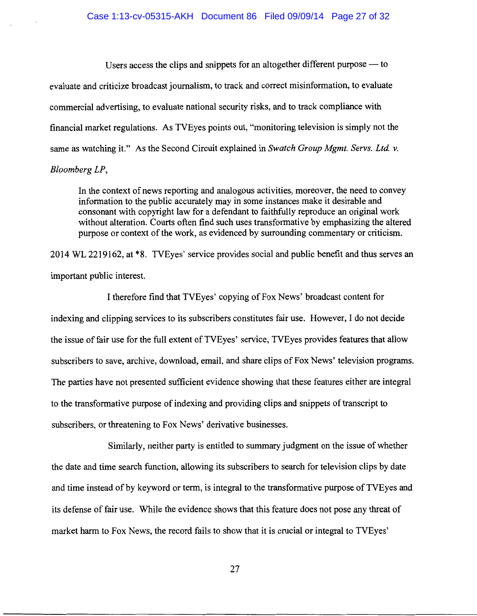Users access the clips and snippets for an altogether different purpose - to evaluate and criticize broadcast journalism, to track and correct misinformation, to evaluate commercial advertising, to evaluate national security risks, and to track compliance with financial market regulations. As TVEyes points out, "monitoring television is simply not the same as watching it." As the Second Circuit explained in *Swatch Group Mgmt. Servs. Ltd. v. Bloomberg LP,* 

In the context of news reporting and analogous activities, moreover, the need to convey information to the public accurately may in some instances make it desirable and consonant with copyright law for a defendant to faithfully reproduce an original work without alteration. Courts often find such uses transformative by emphasizing the altered purpose or context of the work, as evidenced by surrounding commentary or criticism.

2014 WL 2219162, at \*8. TVEyes' service provides social and public benefit and thus serves an important public interest.

I therefore find that TVEyes' copying of Fox News' broadcast content for indexing and clipping services to its subscribers constitutes fair use. However, I do not decide the issue of fair use for the full extent of TVEyes' service, TVEyes provides features that allow subscribers to save, archive, download, email, and share clips of Fox News' television programs. The parties have not presented sufficient evidence showing that these features either are integral to the transformative purpose of indexing and providing clips and snippets of transcript to subscribers, or threatening to Fox News' derivative businesses.

Similarly, neither party is entitled to summary judgment on the issue of whether the date and time search function, allowing its subscribers to search for television clips by date and time instead of by keyword or term, is integral to the transformative purpose of TVEyes and its defense of fair use. While the evidence shows that this feature does not pose any threat of market harm to Fox News, the record fails to show that it is crucial or integral to TVEyes'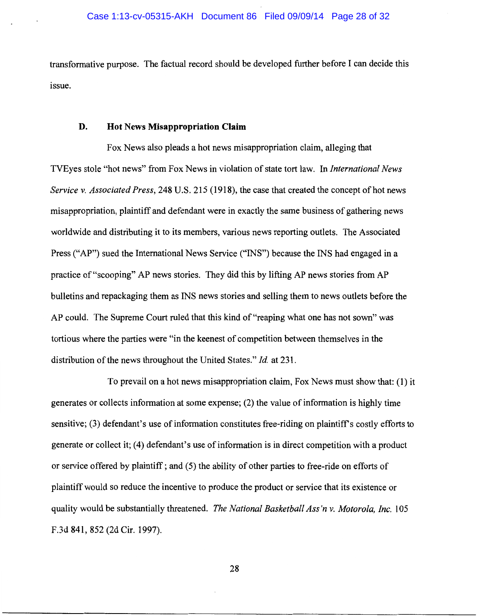transformative purpose. The factual record should be developed further before I can decide this issue.

#### **D. Hot** News **Misappropriation Claim**

Fox News also pleads a hot news misappropriation claim, alleging that TVEyes stole "hot news" from Fox News in violation of state tort law. In *International News Service v. Associated Press,* 248 U.S. 215 (1918), the case that created the concept of hot news misappropriation, plaintiff and defendant were in exactly the same business of gathering news worldwide and distributing it to its members, various news reporting outlets. The Associated Press ("AP") sued the International News Service ("INS") because the INS had engaged in a practice of "scooping" AP news stories. They did this by lifting AP news stories from AP bulletins and repackaging them as INS news stories and selling them to news outlets before the AP could. The Supreme Court ruled that this kind of "reaping what one has not sown" was tortious where the parties were "in the keenest of competition between themselves in the distribution of the news throughout the United States." *Id.* at 231.

To prevail on a hot news misappropriation claim, Fox News must show that: (1) it generates or collects information at some expense; (2) the value of information is highly time sensitive; (3) defendant's use of information constitutes free-riding on plaintiffs costly efforts to generate or collect it; (4) defendant's use of information is in direct competition with a product or service offered by plaintiff; and (5) the ability of other parties to free-ride on efforts of plaintiff would so reduce the incentive to produce the product or service that its existence or quality would be substantially threatened. *The National Basketball Ass 'n v. Motorola, Inc.* 105 F.3d 841, 852 (2d Cir. 1997).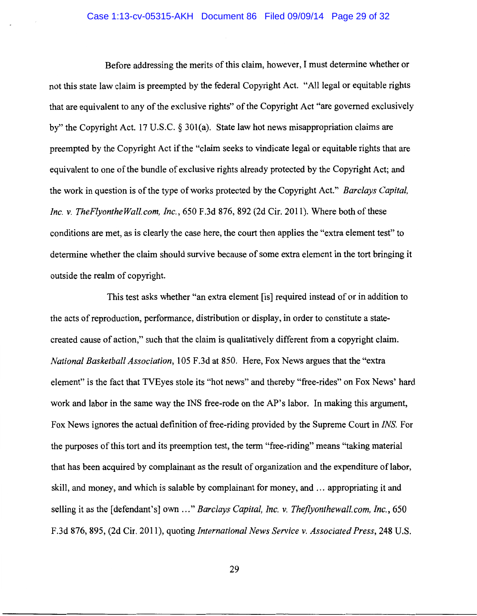#### Case 1:13-cv-05315-AKH Document 86 Filed 09/09/14 Page 29 of 32

Before addressing the merits of this claim, however, I must determine whether or not this state law claim is preempted by the federal Copyright Act. "All legal or equitable rights that are equivalent to any of the exclusive rights" of the Copyright Act "are governed exclusively by" the Copyright Act. 17 U.S.C. § 301(a). State law hot news misappropriation claims are preempted by the Copyright Act if the "claim seeks to vindicate legal or equitable rights that are equivalent to one of the bundle of exclusive rights already protected by the Copyright Act; and the work in question is of the type of works protected by the Copyright Act." *Barclays Capital, Inc. v. TheFlyontheWall.com, Inc.,* 650 F.3d 876, 892 (2d Cir. 2011). Where both of these conditions are met, as is clearly the case here, the court then applies the "extra element test" to determine whether the claim should survive because of some extra element in the tort bringing it outside the realm of copyright.

This test asks whether "an extra element [is] required instead of or in addition to the acts of reproduction, performance, distribution or display, in order to constitute a statecreated cause of action," such that the claim is qualitatively different from a copyright claim. *National Basketball Association,* 105 F.3d at 850. Here, Fox News argues that the "extra element" is the fact that TVEyes stole its "hot news" and thereby "free-rides" on Fox News' hard work and labor in the same way the INS free-rode on the AP's labor. In making this argument, Fox News ignores the actual definition of free-riding provided by the Supreme Court in *INS.* For the purposes of this tort and its preemption test, the term "free-riding" means "taking material that has been acquired by complainant as the result of organization and the expenditure of labor, skill, and money, and which is salable by complainant for money, and ... appropriating it and selling it as the [defendant's] own ..." *Barclays Capital, Inc. v. Theflyonthewall.com, Inc.*, 650 F.3d 876, 895, (2d Cir. 2011), quoting *International News Service v. Associated Press,* 248 U.S.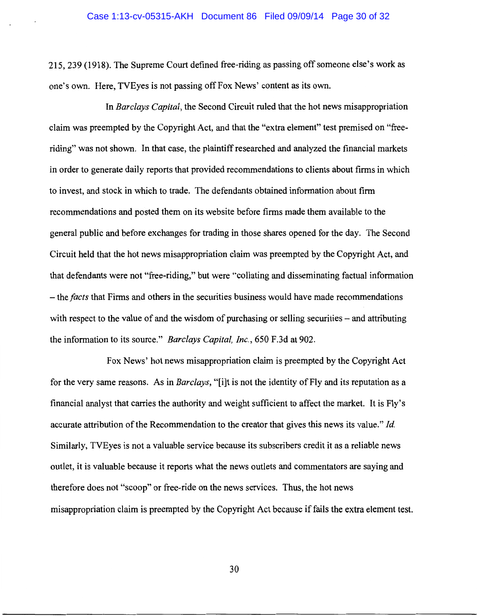215, 239 (1918). The Supreme Court defined free-riding as passing off someone else's work as one's own. Here, TVEyes is not passing off Fox News' content as its own.

In *Barclays Capital,* the Second Circuit ruled that the hot news misappropriation claim was preempted by the Copyright Act, and that the "extra element" test premised on "freeriding" was not shown. In that case, the plaintiff researched and analyzed the financial markets in order to generate daily reports that provided recommendations to clients about firms in which to invest, and stock in which to trade. The defendants obtained information about firm recommendations and posted them on its website before firms made them available to the general public and before exchanges for trading in those shares opened for the day. The Second Circuit held that the hot news misappropriation claim was preempted by the Copyright Act, and that defendants were not "free-riding," but were "collating and disseminating factual information - the *facts* that Firms and others in the securities business would have made recommendations with respect to the value of and the wisdom of purchasing or selling securities – and attributing the information to its source." *Barclays Capital, Inc.,* 650 F.3d at 902.

Fox News' hot news misappropriation claim is preempted by the Copyright Act for the very same reasons. As in *Barclays,* "[i]t is not the identity of Fly and its reputation as a financial analyst that carries the authority and weight sufficient to affect the market. It is Fly's accurate attribution of the Recommendation to the creator that gives this news its value." *Id.*  Similarly, TVEyes is not a valuable service because its subscribers credit it as a reliable news outlet, it is valuable because it reports what the news outlets and commentators are saying and therefore does not "scoop" or free-ride on the news services. Thus, the hot news misappropriation claim is preempted by the Copyright Act because if fails the extra element test.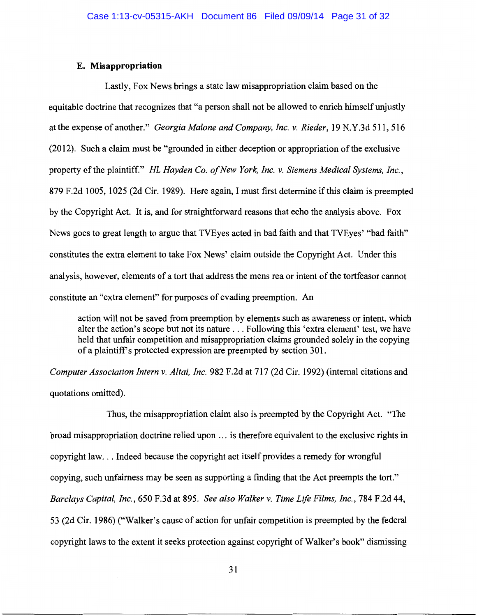### **E. Misappropriation**

Lastly, Fox News brings a state law misappropriation claim based on the equitable doctrine that recognizes that "a person shall not be allowed to enrich himself unjustly at the expense of another." *Georgia Malone and Company, Inc. v. Rieder,* 19 N.Y.3d 511, 516 (2012). Such a claim must be "grounded in either deception or appropriation of the exclusive property of the plaintiff." *HL Hayden Co. of New York, Inc. v. Siemens Medical Systems, Inc.,*  879 F.2d 1005, 1025 (2d Cir. 1989). Here again, I must first determine if this claim is preempted by the Copyright Act. It is, and for straightforward reasons that echo the analysis above. Fox News goes to great length to argue that TVEyes acted in bad faith and that TVEyes' "bad faith" constitutes the extra element to take Fox News' claim outside the Copyright Act. Under this analysis, however, elements of a tort that address the mens rea or intent of the tortfeasor cannot constitute an "extra element" for purposes of evading preemption. An

action will not be saved from preemption by elements such as awareness or intent, which alter the action's scope but not its nature ... Following this 'extra element' test, we have held that unfair competition and misappropriation claims grounded solely in the copying of a plaintiff's protected expression are preempted by section 301.

*Computer Association Intern v. Altai, Inc.* 982 F.2d at 717 (2d Cir. 1992) (internal citations and quotations omitted).

Thus, the misappropriation claim also is preempted by the Copyright Act. "The broad misappropriation doctrine relied upon ... is therefore equivalent to the exclusive rights in copyright law... Indeed because the copyright act itself provides a remedy for wrongful copying, such unfairness may be seen as supporting a finding that the Act preempts the tort." *Barclays Capital, Inc.,* 650 F.3d at 895. *See also Walker v. Time Life Films, Inc.,* 784 F.2d 44, 53 (2d Cir. 1986) ("Walker's cause of action for unfair competition is preempted by the federal copyright laws to the extent it seeks protection against copyright of Walker's book" dismissing